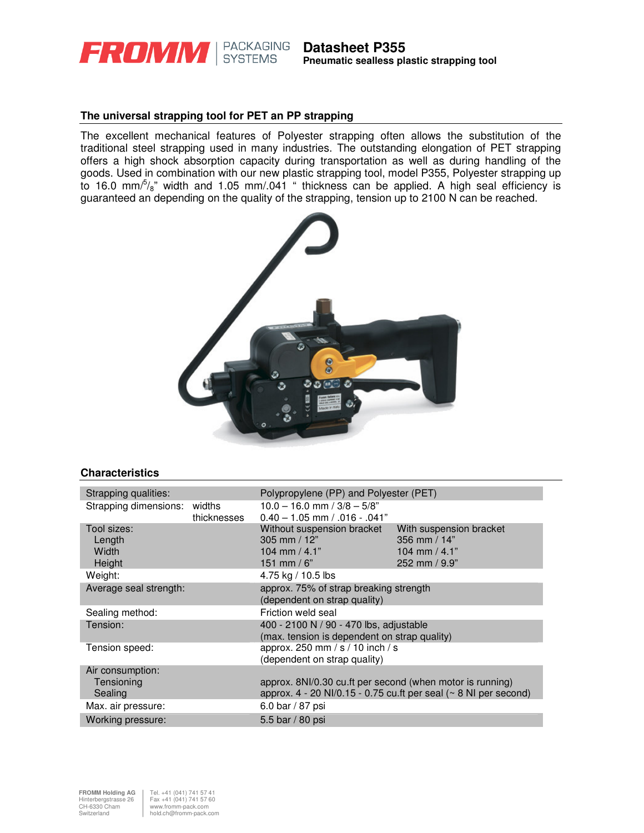

## **The universal strapping tool for PET an PP strapping**

The excellent mechanical features of Polyester strapping often allows the substitution of the traditional steel strapping used in many industries. The outstanding elongation of PET strapping offers a high shock absorption capacity during transportation as well as during handling of the goods. Used in combination with our new plastic strapping tool, model P355, Polyester strapping up to 16.0 mm $\frac{5}{8}$ " width and 1.05 mm/.041 " thickness can be applied. A high seal efficiency is guaranteed an depending on the quality of the strapping, tension up to 2100 N can be reached.



### **Characteristics**

| Strapping qualities:                                                                                                                                                               |                       | Polypropylene (PP) and Polyester (PET)                                                  |                                                                               |
|------------------------------------------------------------------------------------------------------------------------------------------------------------------------------------|-----------------------|-----------------------------------------------------------------------------------------|-------------------------------------------------------------------------------|
| Strapping dimensions:                                                                                                                                                              | widths<br>thicknesses | $10.0 - 16.0$ mm $/ 3/8 - 5/8$ "<br>$0.40 - 1.05$ mm $/ .016 - .041"$                   |                                                                               |
| Tool sizes:<br>Length<br>Width<br>Height                                                                                                                                           |                       | Without suspension bracket<br>305 mm $/ 12"$<br>104 mm $/$ 4.1"<br>151 mm / $6"$        | With suspension bracket<br>356 mm $/$ 14"<br>104 mm $/$ 4.1"<br>252 mm / 9.9" |
| Weight:                                                                                                                                                                            |                       | 4.75 kg / 10.5 lbs                                                                      |                                                                               |
| Average seal strength:                                                                                                                                                             |                       | approx. 75% of strap breaking strength<br>(dependent on strap quality)                  |                                                                               |
| Sealing method:                                                                                                                                                                    |                       | Friction weld seal                                                                      |                                                                               |
| Tension:                                                                                                                                                                           |                       | 400 - 2100 N / 90 - 470 lbs, adjustable<br>(max. tension is dependent on strap quality) |                                                                               |
| Tension speed:                                                                                                                                                                     |                       | approx. 250 mm / s / 10 inch / s<br>(dependent on strap quality)                        |                                                                               |
| Air consumption:<br>Tensioning<br>approx. 8NI/0.30 cu.ft per second (when motor is running)<br>approx. $4 - 20$ NI/0.15 - 0.75 cu.ft per seal ( $\sim 8$ NI per second)<br>Sealing |                       |                                                                                         |                                                                               |
| Max. air pressure:                                                                                                                                                                 |                       | 6.0 bar / 87 psi                                                                        |                                                                               |
| Working pressure:                                                                                                                                                                  |                       | 5.5 bar / 80 psi                                                                        |                                                                               |